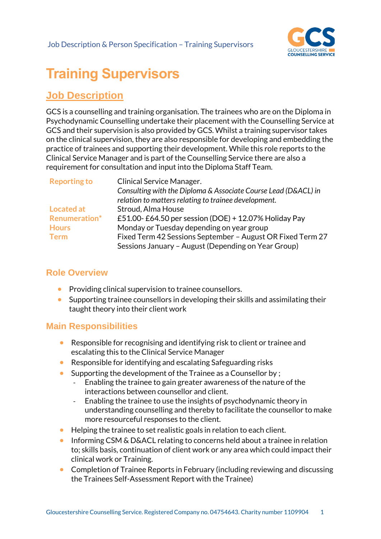

# **Training Supervisors**

## **Job Description**

GCS is a counselling and training organisation. The trainees who are on the Diploma in Psychodynamic Counselling undertake their placement with the Counselling Service at GCS and their supervision is also provided by GCS. Whilst a training supervisor takes on the clinical supervision, they are also responsible for developing and embedding the practice of trainees and supporting their development. While this role reports to the Clinical Service Manager and is part of the Counselling Service there are also a requirement for consultation and input into the Diploma Staff Team.

| <b>Reporting to</b> | <b>Clinical Service Manager.</b>                               |
|---------------------|----------------------------------------------------------------|
|                     | Consulting with the Diploma & Associate Course Lead (D&ACL) in |
|                     | relation to matters relating to trainee development.           |
| <b>Located at</b>   | Stroud, Alma House                                             |
| Renumeration*       | £51.00-£64.50 per session (DOE) + 12.07% Holiday Pay           |
| <b>Hours</b>        | Monday or Tuesday depending on year group                      |
| <b>Term</b>         | Fixed Term 42 Sessions September - August OR Fixed Term 27     |
|                     | Sessions January - August (Depending on Year Group)            |

### **Role Overview**

- Providing clinical supervision to trainee counsellors.
- Supporting trainee counsellors in developing their skills and assimilating their taught theory into their client work

#### **Main Responsibilities**

- Responsible for recognising and identifying risk to client or trainee and escalating this to the Clinical Service Manager
- Responsible for identifying and escalating Safeguarding risks
- Supporting the development of the Trainee as a Counsellor by ;
	- Enabling the trainee to gain greater awareness of the nature of the interactions between counsellor and client.
	- Enabling the trainee to use the insights of psychodynamic theory in understanding counselling and thereby to facilitate the counsellor to make more resourceful responses to the client.
- Helping the trainee to set realistic goals in relation to each client.
- Informing CSM & D&ACL relating to concerns held about a trainee in relation to; skills basis, continuation of client work or any area which could impact their clinical work or Training.
- Completion of Trainee Reports in February (including reviewing and discussing the Trainees Self-Assessment Report with the Trainee)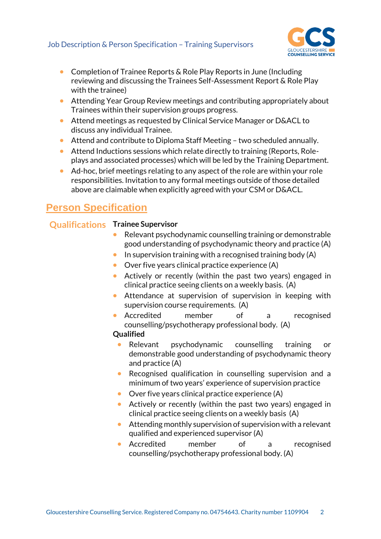

- Completion of Trainee Reports & Role Play Reports in June (Including reviewing and discussing the Trainees Self-Assessment Report & Role Play with the trainee)
- Attending Year Group Review meetings and contributing appropriately about Trainees within their supervision groups progress.
- Attend meetings as requested by Clinical Service Manager or D&ACL to discuss any individual Trainee.
- Attend and contribute to Diploma Staff Meeting two scheduled annually.
- Attend Inductions sessions which relate directly to training (Reports, Roleplays and associated processes) which will be led by the Training Department.
- Ad-hoc, brief meetings relating to any aspect of the role are within your role responsibilities. Invitation to any formal meetings outside of those detailed above are claimable when explicitly agreed with your CSM or D&ACL.

## **Person Specification**

#### **Qualifications Trainee Supervisor**

- Relevant psychodynamic counselling training or demonstrable good understanding of psychodynamic theory and practice (A)
- $\bullet$  In supervision training with a recognised training body (A)
- Over five years clinical practice experience (A)
- Actively or recently (within the past two years) engaged in clinical practice seeing clients on a weekly basis. (A)
- Attendance at supervision of supervision in keeping with supervision course requirements. (A)
- Accredited member of a recognised counselling/psychotherapy professional body. (A)

#### **Qualified**

- Relevant psychodynamic counselling training or demonstrable good understanding of psychodynamic theory and practice (A)
- Recognised qualification in counselling supervision and a minimum of two years' experience of supervision practice
- Over five years clinical practice experience (A)
- Actively or recently (within the past two years) engaged in clinical practice seeing clients on a weekly basis (A)
- Attending monthly supervision of supervision with a relevant qualified and experienced supervisor (A)
- Accredited member of a recognised counselling/psychotherapy professional body. (A)